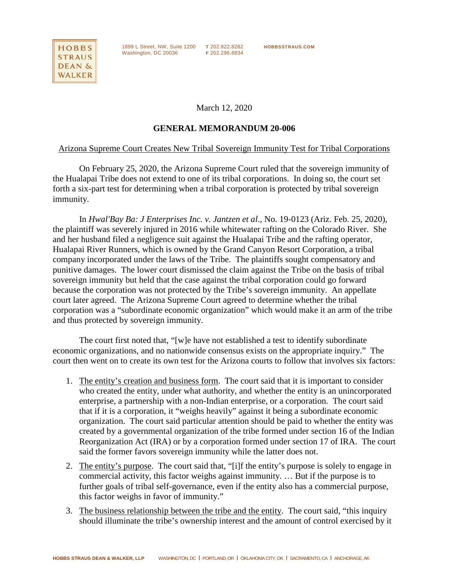

1899 L Street, NW, Suite 1200 **T** 202.822.8282 **HOBBSSTRAUS.COM Fig. 2.1.23, 1.1.4, 2.202.36** 

March 12, 2020

## **GENERAL MEMORANDUM 20-006**

## Arizona Supreme Court Creates New Tribal Sovereign Immunity Test for Tribal Corporations

On February 25, 2020, the Arizona Supreme Court ruled that the sovereign immunity of the Hualapai Tribe does not extend to one of its tribal corporations. In doing so, the court set forth a six-part test for determining when a tribal corporation is protected by tribal sovereign immunity.

In *Hwal'Bay Ba: J Enterprises Inc. v. Jantzen et al*., No. 19-0123 (Ariz. Feb. 25, 2020), the plaintiff was severely injured in 2016 while whitewater rafting on the Colorado River. She and her husband filed a negligence suit against the Hualapai Tribe and the rafting operator, Hualapai River Runners, which is owned by the Grand Canyon Resort Corporation, a tribal company incorporated under the laws of the Tribe. The plaintiffs sought compensatory and punitive damages. The lower court dismissed the claim against the Tribe on the basis of tribal sovereign immunity but held that the case against the tribal corporation could go forward because the corporation was not protected by the Tribe's sovereign immunity. An appellate court later agreed. The Arizona Supreme Court agreed to determine whether the tribal corporation was a "subordinate economic organization" which would make it an arm of the tribe and thus protected by sovereign immunity.

The court first noted that, "[w]e have not established a test to identify subordinate economic organizations, and no nationwide consensus exists on the appropriate inquiry." The court then went on to create its own test for the Arizona courts to follow that involves six factors:

- 1. The entity's creation and business form. The court said that it is important to consider who created the entity, under what authority, and whether the entity is an unincorporated enterprise, a partnership with a non-Indian enterprise, or a corporation. The court said that if it is a corporation, it "weighs heavily" against it being a subordinate economic organization. The court said particular attention should be paid to whether the entity was created by a governmental organization of the tribe formed under section 16 of the Indian Reorganization Act (IRA) or by a corporation formed under section 17 of IRA. The court said the former favors sovereign immunity while the latter does not.
- 2. The entity's purpose. The court said that, "[i]f the entity's purpose is solely to engage in commercial activity, this factor weighs against immunity. … But if the purpose is to further goals of tribal self-governance, even if the entity also has a commercial purpose, this factor weighs in favor of immunity."
- 3. The business relationship between the tribe and the entity. The court said, "this inquiry should illuminate the tribe's ownership interest and the amount of control exercised by it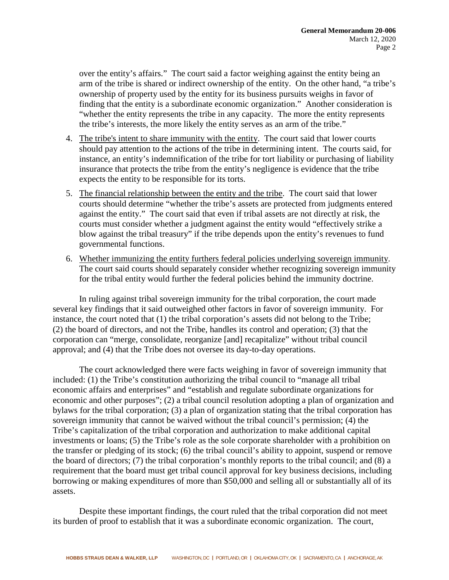over the entity's affairs." The court said a factor weighing against the entity being an arm of the tribe is shared or indirect ownership of the entity. On the other hand, "a tribe's ownership of property used by the entity for its business pursuits weighs in favor of finding that the entity is a subordinate economic organization." Another consideration is "whether the entity represents the tribe in any capacity. The more the entity represents the tribe's interests, the more likely the entity serves as an arm of the tribe."

- 4. The tribe's intent to share immunity with the entity. The court said that lower courts should pay attention to the actions of the tribe in determining intent. The courts said, for instance, an entity's indemnification of the tribe for tort liability or purchasing of liability insurance that protects the tribe from the entity's negligence is evidence that the tribe expects the entity to be responsible for its torts.
- 5. The financial relationship between the entity and the tribe. The court said that lower courts should determine "whether the tribe's assets are protected from judgments entered against the entity." The court said that even if tribal assets are not directly at risk, the courts must consider whether a judgment against the entity would "effectively strike a blow against the tribal treasury" if the tribe depends upon the entity's revenues to fund governmental functions.
- 6. Whether immunizing the entity furthers federal policies underlying sovereign immunity. The court said courts should separately consider whether recognizing sovereign immunity for the tribal entity would further the federal policies behind the immunity doctrine.

In ruling against tribal sovereign immunity for the tribal corporation, the court made several key findings that it said outweighed other factors in favor of sovereign immunity. For instance, the court noted that (1) the tribal corporation's assets did not belong to the Tribe; (2) the board of directors, and not the Tribe, handles its control and operation; (3) that the corporation can "merge, consolidate, reorganize [and] recapitalize" without tribal council approval; and (4) that the Tribe does not oversee its day-to-day operations.

The court acknowledged there were facts weighing in favor of sovereign immunity that included: (1) the Tribe's constitution authorizing the tribal council to "manage all tribal economic affairs and enterprises" and "establish and regulate subordinate organizations for economic and other purposes"; (2) a tribal council resolution adopting a plan of organization and bylaws for the tribal corporation; (3) a plan of organization stating that the tribal corporation has sovereign immunity that cannot be waived without the tribal council's permission; (4) the Tribe's capitalization of the tribal corporation and authorization to make additional capital investments or loans; (5) the Tribe's role as the sole corporate shareholder with a prohibition on the transfer or pledging of its stock; (6) the tribal council's ability to appoint, suspend or remove the board of directors; (7) the tribal corporation's monthly reports to the tribal council; and (8) a requirement that the board must get tribal council approval for key business decisions, including borrowing or making expenditures of more than \$50,000 and selling all or substantially all of its assets.

Despite these important findings, the court ruled that the tribal corporation did not meet its burden of proof to establish that it was a subordinate economic organization. The court,